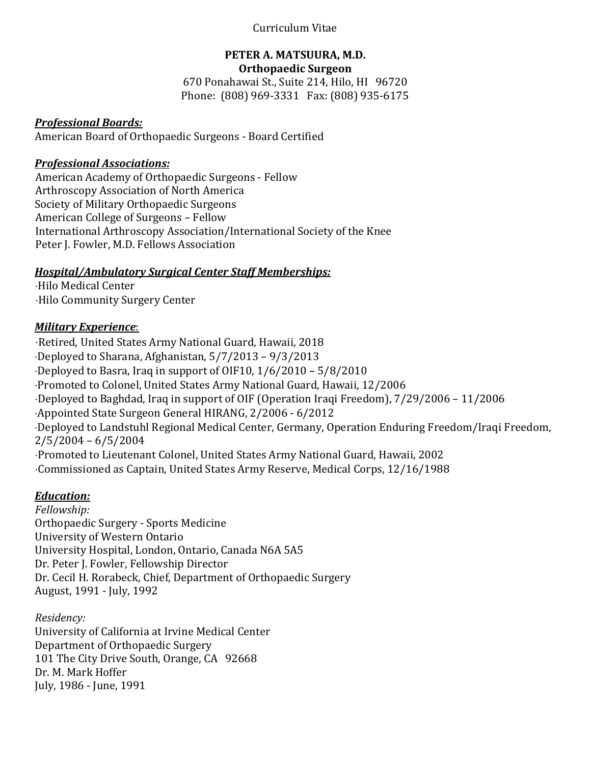### Curriculum Vitae

#### **PETER A. MATSUURA, M.D. Orthopaedic Surgeon**

670 Ponahawai St., Suite 214, Hilo, HI 96720 Phone: (808) 969-3331 Fax: (808) 935-6175

### *Professional Boards:*

American Board of Orthopaedic Surgeons - Board Certified

### *Professional Associations:*

American Academy of Orthopaedic Surgeons - Fellow Arthroscopy Association of North America Society of Military Orthopaedic Surgeons American College of Surgeons – Fellow International Arthroscopy Association/International Society of the Knee Peter J. Fowler, M.D. Fellows Association

### *Hospital/Ambulatory Surgical Center Staff Memberships:*

⋅Hilo Medical Center ⋅Hilo Community Surgery Center

### *Military Experience*:

⋅Retired, United States Army National Guard, Hawaii, 2018 ⋅Deployed to Sharana, Afghanistan, 5/7/2013 – 9/3/2013  $\cdot$ Deployed to Basra, Iraq in support of OIF10,  $1/6/2010 - 5/8/2010$ ⋅Promoted to Colonel, United States Army National Guard, Hawaii, 12/2006 ⋅Deployed to Baghdad, Iraq in support of OIF (Operation Iraqi Freedom), 7/29/2006 – 11/2006 ⋅Appointed State Surgeon General HIRANG, 2/2006 - 6/2012 ⋅Deployed to Landstuhl Regional Medical Center, Germany, Operation Enduring Freedom/Iraqi Freedom, 2/5/2004 – 6/5/2004 ⋅Promoted to Lieutenant Colonel, United States Army National Guard, Hawaii, 2002 ⋅Commissioned as Captain, United States Army Reserve, Medical Corps, 12/16/1988

### *Education:*

*Fellowship:* Orthopaedic Surgery - Sports Medicine University of Western Ontario University Hospital, London, Ontario, Canada N6A 5A5 Dr. Peter J. Fowler, Fellowship Director Dr. Cecil H. Rorabeck, Chief, Department of Orthopaedic Surgery August, 1991 - July, 1992

*Residency:* University of California at Irvine Medical Center Department of Orthopaedic Surgery 101 The City Drive South, Orange, CA 92668 Dr. M. Mark Hoffer July, 1986 - June, 1991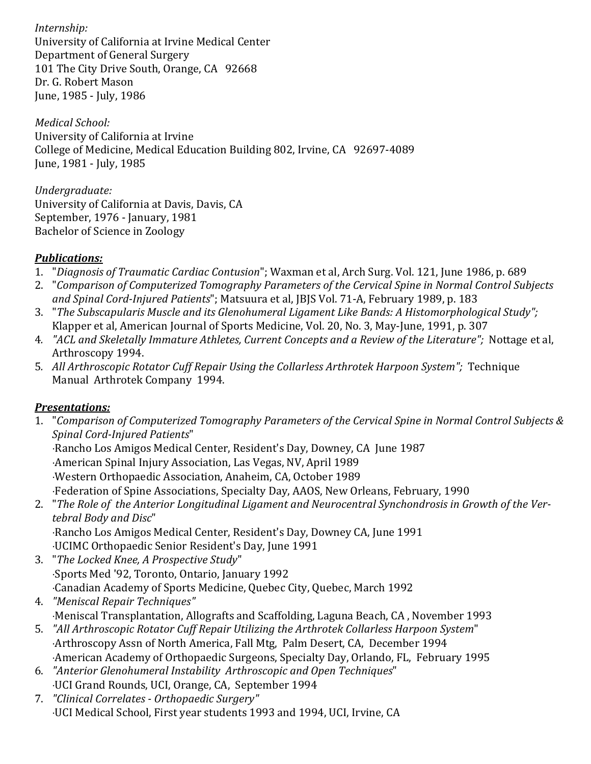*Internship:* University of California at Irvine Medical Center Department of General Surgery 101 The City Drive South, Orange, CA 92668 Dr. G. Robert Mason June, 1985 - July, 1986

*Medical School:* University of California at Irvine College of Medicine, Medical Education Building 802, Irvine, CA 92697-4089 June, 1981 - July, 1985

*Undergraduate:* University of California at Davis, Davis, CA September, 1976 - January, 1981 Bachelor of Science in Zoology

## *Publications:*

- 1. "*Diagnosis of Traumatic Cardiac Contusion*"; Waxman et al, Arch Surg. Vol. 121, June 1986, p. 689
- 2. "*Comparison of Computerized Tomography Parameters of the Cervical Spine in Normal Control Subjects and Spinal Cord-Injured Patients*"; Matsuura et al, JBJS Vol. 71-A, February 1989, p. 183
- 3. "*The Subscapularis Muscle and its Glenohumeral Ligament Like Bands: A Histomorphological Study";* Klapper et al, American Journal of Sports Medicine, Vol. 20, No. 3, May-June, 1991, p. 307
- 4*. "ACL and Skeletally Immature Athletes, Current Concepts and a Review of the Literature";* Nottage et al, Arthroscopy 1994.
- 5*. All Arthroscopic Rotator Cuff Repair Using the Collarless Arthrotek Harpoon System";* Technique Manual Arthrotek Company 1994.

### *Presentations:*

1. "*Comparison of Computerized Tomography Parameters of the Cervical Spine in Normal Control Subjects & Spinal Cord-Injured Patients*"

⋅Rancho Los Amigos Medical Center, Resident's Day, Downey, CA June 1987

⋅American Spinal Injury Association, Las Vegas, NV, April 1989

⋅Western Orthopaedic Association, Anaheim, CA, October 1989

⋅Federation of Spine Associations, Specialty Day, AAOS, New Orleans, February, 1990

2. "*The Role of the Anterior Longitudinal Ligament and Neurocentral Synchondrosis in Growth of the Vertebral Body and Disc*"

⋅Rancho Los Amigos Medical Center, Resident's Day, Downey CA, June 1991 ⋅UCIMC Orthopaedic Senior Resident's Day, June 1991

- 3. "*The Locked Knee, A Prospective Study*" ⋅Sports Med '92, Toronto, Ontario, January 1992 ⋅Canadian Academy of Sports Medicine, Quebec City, Quebec, March 1992
- 4. *"Meniscal Repair Techniques"* ⋅Meniscal Transplantation, Allografts and Scaffolding, Laguna Beach, CA , November 1993
- 5. *"All Arthroscopic Rotator Cuff Repair Utilizing the Arthrotek Collarless Harpoon System*" ⋅Arthroscopy Assn of North America, Fall Mtg, Palm Desert, CA, December 1994 ⋅American Academy of Orthopaedic Surgeons, Specialty Day, Orlando, FL, February 1995
- 6. *"Anterior Glenohumeral Instability Arthroscopic and Open Techniques*" ⋅UCI Grand Rounds, UCI, Orange, CA, September 1994
- 7. *"Clinical Correlates - Orthopaedic Surgery"* ⋅UCI Medical School, First year students 1993 and 1994, UCI, Irvine, CA